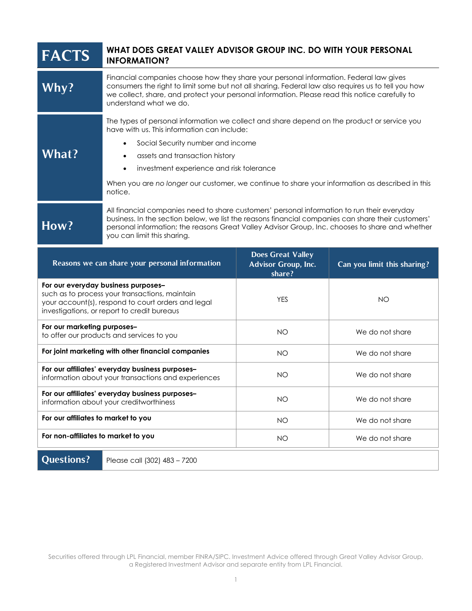| <b>FACTS</b>                                   | WHAT DOES GREAT VALLEY ADVISOR GROUP INC. DO WITH YOUR PERSONAL<br><b>INFORMATION?</b>                                                                                                                                                                                                                                                                                                                             |                                                        |                             |
|------------------------------------------------|--------------------------------------------------------------------------------------------------------------------------------------------------------------------------------------------------------------------------------------------------------------------------------------------------------------------------------------------------------------------------------------------------------------------|--------------------------------------------------------|-----------------------------|
| Why?                                           | Financial companies choose how they share your personal information. Federal law gives<br>consumers the right to limit some but not all sharing. Federal law also requires us to tell you how<br>we collect, share, and protect your personal information. Please read this notice carefully to<br>understand what we do.                                                                                          |                                                        |                             |
| What?                                          | The types of personal information we collect and share depend on the product or service you<br>have with us. This information can include:<br>Social Security number and income<br>$\bullet$<br>assets and transaction history<br>$\bullet$<br>investment experience and risk tolerance<br>$\bullet$<br>When you are no longer our customer, we continue to share your information as described in this<br>notice. |                                                        |                             |
| How?                                           | All financial companies need to share customers' personal information to run their everyday<br>business. In the section below, we list the reasons financial companies can share their customers'<br>personal information; the reasons Great Valley Advisor Group, Inc. chooses to share and whether<br>you can limit this sharing.                                                                                |                                                        |                             |
| Reasons we can share your personal information |                                                                                                                                                                                                                                                                                                                                                                                                                    | <b>Does Great Valley</b><br><b>Advisor Group, Inc.</b> | Can you limit this sharing? |
|                                                |                                                                                                                                                                                                                                                                                                                                                                                                                    | share?                                                 |                             |
|                                                | For our everyday business purposes-<br>such as to process your transactions, maintain<br>your account(s), respond to court orders and legal<br>investigations, or report to credit bureaus                                                                                                                                                                                                                         | <b>YES</b>                                             | <b>NO</b>                   |
| For our marketing purposes-                    | to offer our products and services to you                                                                                                                                                                                                                                                                                                                                                                          | <b>NO</b>                                              | We do not share             |
|                                                | For joint marketing with other financial companies                                                                                                                                                                                                                                                                                                                                                                 | <b>NO</b>                                              | We do not share             |
|                                                | For our affiliates' everyday business purposes-<br>information about your transactions and experiences                                                                                                                                                                                                                                                                                                             | NO                                                     | We do not share             |
|                                                | For our affiliates' everyday business purposes-<br>information about your creditworthiness                                                                                                                                                                                                                                                                                                                         | <b>NO</b>                                              | We do not share             |
| For our affiliates to market to you            |                                                                                                                                                                                                                                                                                                                                                                                                                    | <b>NO</b>                                              | We do not share             |
| For non-affiliates to market to you            |                                                                                                                                                                                                                                                                                                                                                                                                                    | <b>NO</b>                                              | We do not share             |

Securities offered through LPL Financial, member FINRA/SIPC. Investment Advice offered through Great Valley Advisor Group, a Registered Investment Advisor and separate entity from LPL Financial.